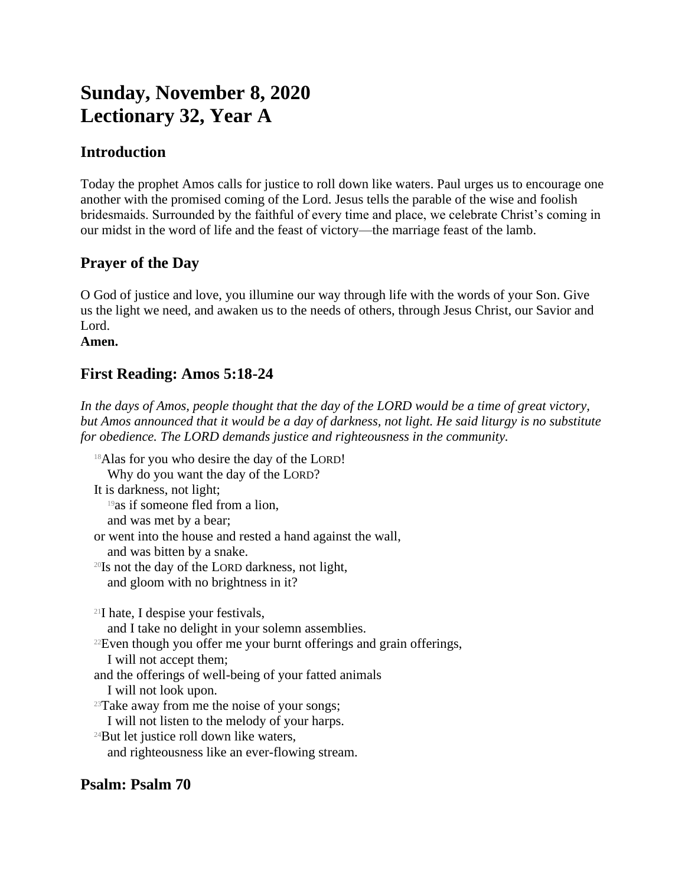# **Sunday, November 8, 2020 Lectionary 32, Year A**

## **Introduction**

Today the prophet Amos calls for justice to roll down like waters. Paul urges us to encourage one another with the promised coming of the Lord. Jesus tells the parable of the wise and foolish bridesmaids. Surrounded by the faithful of every time and place, we celebrate Christ's coming in our midst in the word of life and the feast of victory—the marriage feast of the lamb.

# **Prayer of the Day**

O God of justice and love, you illumine our way through life with the words of your Son. Give us the light we need, and awaken us to the needs of others, through Jesus Christ, our Savior and Lord.

#### **Amen.**

# **First Reading: Amos 5:18-24**

*In the days of Amos, people thought that the day of the LORD would be a time of great victory, but Amos announced that it would be a day of darkness, not light. He said liturgy is no substitute for obedience. The LORD demands justice and righteousness in the community.*

<sup>18</sup>Alas for you who desire the day of the LORD! Why do you want the day of the LORD? It is darkness, not light; <sup>19</sup>as if someone fled from a lion, and was met by a bear; or went into the house and rested a hand against the wall, and was bitten by a snake.  $20$ Is not the day of the LORD darkness, not light, and gloom with no brightness in it? <sup>21</sup>I hate, I despise your festivals, and I take no delight in your solemn assemblies. <sup>22</sup>Even though you offer me your burnt offerings and grain offerings, I will not accept them; and the offerings of well-being of your fatted animals I will not look upon.  $23$ Take away from me the noise of your songs; I will not listen to the melody of your harps. <sup>24</sup>But let justice roll down like waters, and righteousness like an ever-flowing stream.

#### **Psalm: Psalm 70**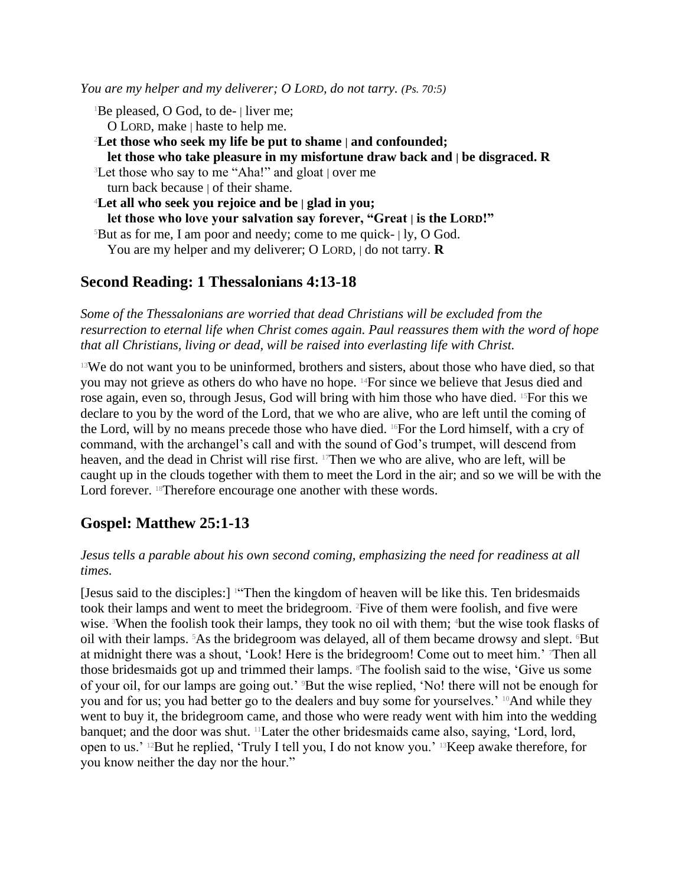*You are my helper and my deliverer; O LORD, do not tarry. (Ps. 70:5)*

<sup>1</sup>Be pleased, O God, to de- | liver me;

O LORD, make | haste to help me.

<sup>2</sup>**Let those who seek my life be put to shame | and confounded; let those who take pleasure in my misfortune draw back and | be disgraced. R** <sup>3</sup>Let those who say to me "Aha!" and gloat | over me

turn back because  $\vert$  of their shame.

<sup>4</sup>**Let all who seek you rejoice and be | glad in you; let those who love your salvation say forever, "Great | is the LORD!"** <sup>5</sup>But as for me, I am poor and needy; come to me quick- $| \, \text{ly, O God.} \rangle$ You are my helper and my deliverer; O LORD, | do not tarry. **R**

#### **Second Reading: 1 Thessalonians 4:13-18**

*Some of the Thessalonians are worried that dead Christians will be excluded from the resurrection to eternal life when Christ comes again. Paul reassures them with the word of hope that all Christians, living or dead, will be raised into everlasting life with Christ.*

 $13W$ e do not want you to be uninformed, brothers and sisters, about those who have died, so that you may not grieve as others do who have no hope. 14For since we believe that Jesus died and rose again, even so, through Jesus, God will bring with him those who have died. 15For this we declare to you by the word of the Lord, that we who are alive, who are left until the coming of the Lord, will by no means precede those who have died. 16For the Lord himself, with a cry of command, with the archangel's call and with the sound of God's trumpet, will descend from heaven, and the dead in Christ will rise first. <sup>17</sup>Then we who are alive, who are left, will be caught up in the clouds together with them to meet the Lord in the air; and so we will be with the Lord forever. <sup>18</sup>Therefore encourage one another with these words.

### **Gospel: Matthew 25:1-13**

#### *Jesus tells a parable about his own second coming, emphasizing the need for readiness at all times.*

[Jesus said to the disciples:] 1"Then the kingdom of heaven will be like this. Ten bridesmaids took their lamps and went to meet the bridegroom. 2Five of them were foolish, and five were wise. <sup>3</sup>When the foolish took their lamps, they took no oil with them; <sup>4</sup>but the wise took flasks of oil with their lamps. <sup>5</sup>As the bridegroom was delayed, all of them became drowsy and slept. <sup>6</sup>But at midnight there was a shout, 'Look! Here is the bridegroom! Come out to meet him.' 7Then all those bridesmaids got up and trimmed their lamps. 8The foolish said to the wise, 'Give us some of your oil, for our lamps are going out.' 9But the wise replied, 'No! there will not be enough for you and for us; you had better go to the dealers and buy some for yourselves.' <sup>10</sup>And while they went to buy it, the bridegroom came, and those who were ready went with him into the wedding banquet; and the door was shut. 11Later the other bridesmaids came also, saying, 'Lord, lord, open to us.' 12But he replied, 'Truly I tell you, I do not know you.' 13Keep awake therefore, for you know neither the day nor the hour."